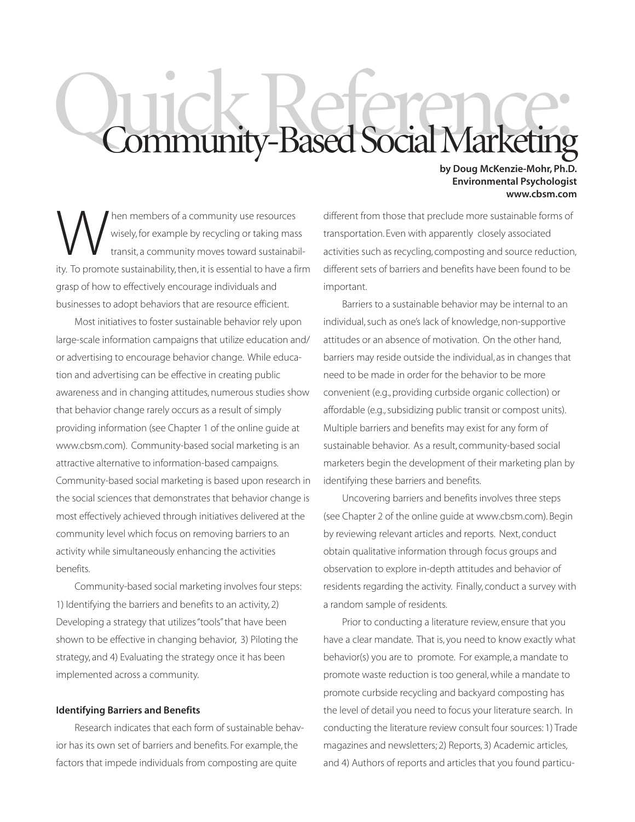# ommunity-Based Social Marl

When members of a community use resources<br>wisely, for example by recycling or taking masterial to the transit, a community moves toward sustainable wisely, for example by recycling or taking mass transit, a community moves toward sustainability. To promote sustainability, then, it is essential to have a firm grasp of how to effectively encourage individuals and businesses to adopt behaviors that are resource efficient.

Most initiatives to foster sustainable behavior rely upon large-scale information campaigns that utilize education and/ or advertising to encourage behavior change. While education and advertising can be effective in creating public awareness and in changing attitudes, numerous studies show that behavior change rarely occurs as a result of simply providing information (see Chapter 1 of the online guide at www.cbsm.com). Community-based social marketing is an attractive alternative to information-based campaigns. Community-based social marketing is based upon research in the social sciences that demonstrates that behavior change is most effectively achieved through initiatives delivered at the community level which focus on removing barriers to an activity while simultaneously enhancing the activities benefits.

Community-based social marketing involves four steps: 1) Identifying the barriers and benefits to an activity, 2) Developing a strategy that utilizes "tools" that have been shown to be effective in changing behavior, 3) Piloting the strategy, and 4) Evaluating the strategy once it has been implemented across a community.

# **Identifying Barriers and Benefits**

Research indicates that each form of sustainable behavior has its own set of barriers and benefits. For example, the factors that impede individuals from composting are quite

**by Doug McKenzie-Mohr, Ph.D. Environmental Psychologist www.cbsm.com**

different from those that preclude more sustainable forms of transportation. Even with apparently closely associated activities such as recycling, composting and source reduction, different sets of barriers and benefits have been found to be important.

Barriers to a sustainable behavior may be internal to an individual, such as one's lack of knowledge, non-supportive attitudes or an absence of motivation. On the other hand, barriers may reside outside the individual, as in changes that need to be made in order for the behavior to be more convenient (e.g., providing curbside organic collection) or affordable (e.g., subsidizing public transit or compost units). Multiple barriers and benefits may exist for any form of sustainable behavior. As a result, community-based social marketers begin the development of their marketing plan by identifying these barriers and benefits.

Uncovering barriers and benefits involves three steps (see Chapter 2 of the online guide at www.cbsm.com). Begin by reviewing relevant articles and reports. Next, conduct obtain qualitative information through focus groups and observation to explore in-depth attitudes and behavior of residents regarding the activity. Finally, conduct a survey with a random sample of residents.

Prior to conducting a literature review, ensure that you have a clear mandate. That is, you need to know exactly what behavior(s) you are to promote. For example, a mandate to promote waste reduction is too general, while a mandate to promote curbside recycling and backyard composting has the level of detail you need to focus your literature search. In conducting the literature review consult four sources: 1) Trade magazines and newsletters; 2) Reports, 3) Academic articles, and 4) Authors of reports and articles that you found particu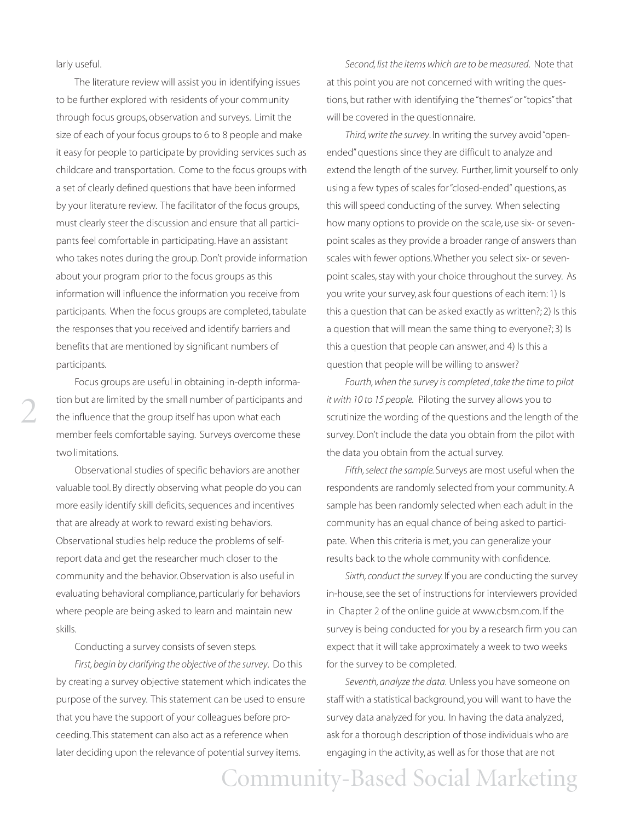larly useful.

2

The literature review will assist you in identifying issues to be further explored with residents of your community through focus groups, observation and surveys. Limit the size of each of your focus groups to 6 to 8 people and make it easy for people to participate by providing services such as childcare and transportation. Come to the focus groups with a set of clearly defined questions that have been informed by your literature review. The facilitator of the focus groups, must clearly steer the discussion and ensure that all participants feel comfortable in participating. Have an assistant who takes notes during the group. Don't provide information about your program prior to the focus groups as this information will influence the information you receive from participants. When the focus groups are completed, tabulate the responses that you received and identify barriers and benefits that are mentioned by significant numbers of participants.

Focus groups are useful in obtaining in-depth information but are limited by the small number of participants and the influence that the group itself has upon what each member feels comfortable saying. Surveys overcome these two limitations.

Observational studies of specific behaviors are another valuable tool. By directly observing what people do you can more easily identify skill deficits, sequences and incentives that are already at work to reward existing behaviors. Observational studies help reduce the problems of selfreport data and get the researcher much closer to the community and the behavior. Observation is also useful in evaluating behavioral compliance, particularly for behaviors where people are being asked to learn and maintain new skills.

Conducting a survey consists of seven steps.

*First, begin by clarifying the objective of the survey*. Do this by creating a survey objective statement which indicates the purpose of the survey. This statement can be used to ensure that you have the support of your colleagues before proceeding. This statement can also act as a reference when later deciding upon the relevance of potential survey items.

*Second, list the items which are to be measured*. Note that at this point you are not concerned with writing the questions, but rather with identifying the "themes" or "topics" that will be covered in the questionnaire.

*Third, write the survey*. In writing the survey avoid "openended" questions since they are difficult to analyze and extend the length of the survey. Further, limit yourself to only using a few types of scales for "closed-ended" questions, as this will speed conducting of the survey. When selecting how many options to provide on the scale, use six- or sevenpoint scales as they provide a broader range of answers than scales with fewer options. Whether you select six- or sevenpoint scales, stay with your choice throughout the survey. As you write your survey, ask four questions of each item: 1) Is this a question that can be asked exactly as written?; 2) Is this a question that will mean the same thing to everyone?; 3) Is this a question that people can answer, and 4) Is this a question that people will be willing to answer?

*Fourth, when the survey is completed ,take the time to pilot it with 10 to 15 people.* Piloting the survey allows you to scrutinize the wording of the questions and the length of the survey. Don't include the data you obtain from the pilot with the data you obtain from the actual survey.

*Fifth, select the sample.* Surveys are most useful when the respondents are randomly selected from your community. A sample has been randomly selected when each adult in the community has an equal chance of being asked to participate. When this criteria is met, you can generalize your results back to the whole community with confidence.

*Sixth, conduct the survey.* If you are conducting the survey in-house, see the set of instructions for interviewers provided in Chapter 2 of the online guide at www.cbsm.com. If the survey is being conducted for you by a research firm you can expect that it will take approximately a week to two weeks for the survey to be completed.

*Seventh, analyze the data.* Unless you have someone on staff with a statistical background, you will want to have the survey data analyzed for you. In having the data analyzed, ask for a thorough description of those individuals who are engaging in the activity, as well as for those that are not

Community-Based Social Marketing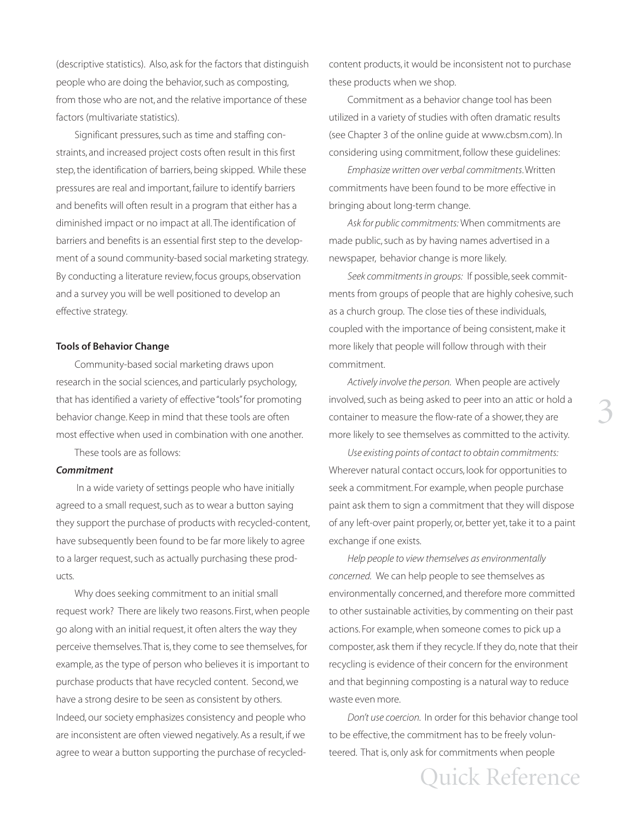(descriptive statistics). Also, ask for the factors that distinguish people who are doing the behavior, such as composting, from those who are not, and the relative importance of these factors (multivariate statistics).

Significant pressures, such as time and staffing constraints, and increased project costs often result in this first step, the identification of barriers, being skipped. While these pressures are real and important, failure to identify barriers and benefits will often result in a program that either has a diminished impact or no impact at all. The identification of barriers and benefits is an essential first step to the development of a sound community-based social marketing strategy. By conducting a literature review, focus groups, observation and a survey you will be well positioned to develop an effective strategy.

### **Tools of Behavior Change**

Community-based social marketing draws upon research in the social sciences, and particularly psychology, that has identified a variety of effective "tools" for promoting behavior change. Keep in mind that these tools are often most effective when used in combination with one another.

These tools are as follows:

# *Commitment*

In a wide variety of settings people who have initially agreed to a small request, such as to wear a button saying they support the purchase of products with recycled-content, have subsequently been found to be far more likely to agree to a larger request, such as actually purchasing these products.

Why does seeking commitment to an initial small request work? There are likely two reasons. First, when people go along with an initial request, it often alters the way they perceive themselves. That is, they come to see themselves, for example, as the type of person who believes it is important to purchase products that have recycled content. Second, we have a strong desire to be seen as consistent by others. Indeed, our society emphasizes consistency and people who are inconsistent are often viewed negatively. As a result, if we agree to wear a button supporting the purchase of recycledcontent products, it would be inconsistent not to purchase these products when we shop.

Commitment as a behavior change tool has been utilized in a variety of studies with often dramatic results (see Chapter 3 of the online guide at www.cbsm.com). In considering using commitment, follow these guidelines:

*Emphasize written over verbal commitments*. Written commitments have been found to be more effective in bringing about long-term change.

*Ask for public commitments:* When commitments are made public, such as by having names advertised in a newspaper, behavior change is more likely.

*Seek commitments in groups:* If possible, seek commitments from groups of people that are highly cohesive, such as a church group. The close ties of these individuals, coupled with the importance of being consistent, make it more likely that people will follow through with their commitment.

*Actively involve the person.* When people are actively involved, such as being asked to peer into an attic or hold a container to measure the flow-rate of a shower, they are more likely to see themselves as committed to the activity.

3

*Use existing points of contact to obtain commitments:* Wherever natural contact occurs, look for opportunities to seek a commitment. For example, when people purchase paint ask them to sign a commitment that they will dispose of any left-over paint properly, or, better yet, take it to a paint exchange if one exists.

*Help people to view themselves as environmentally concerned.* We can help people to see themselves as environmentally concerned, and therefore more committed to other sustainable activities, by commenting on their past actions. For example, when someone comes to pick up a composter, ask them if they recycle. If they do, note that their recycling is evidence of their concern for the environment and that beginning composting is a natural way to reduce waste even more.

*Don't use coercion.* In order for this behavior change tool to be effective, the commitment has to be freely volunteered. That is, only ask for commitments when people

Quick Reference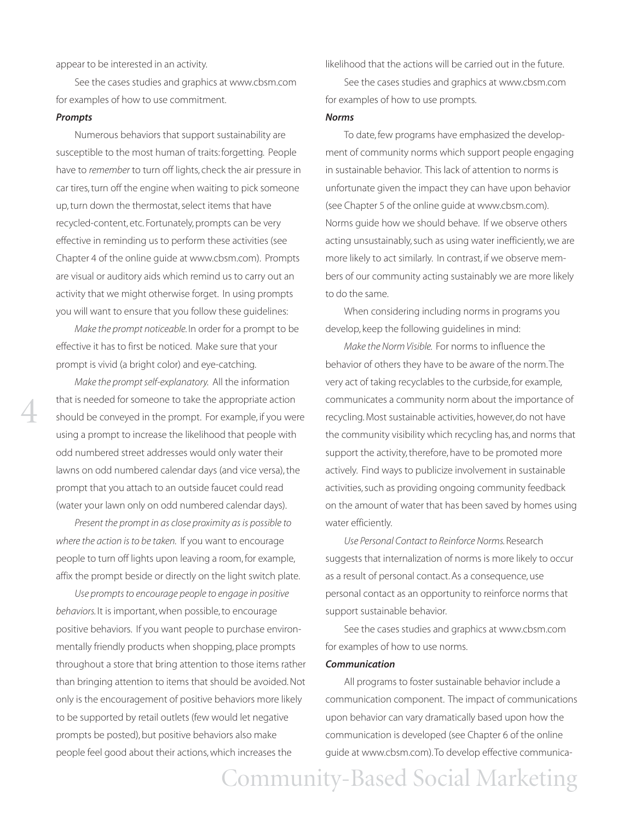appear to be interested in an activity.

See the cases studies and graphics at www.cbsm.com for examples of how to use commitment.

#### *Prompts*

4

Numerous behaviors that support sustainability are susceptible to the most human of traits: forgetting. People have to *remember* to turn off lights, check the air pressure in car tires, turn off the engine when waiting to pick someone up, turn down the thermostat, select items that have recycled-content, etc. Fortunately, prompts can be very effective in reminding us to perform these activities (see Chapter 4 of the online guide at www.cbsm.com). Prompts are visual or auditory aids which remind us to carry out an activity that we might otherwise forget. In using prompts you will want to ensure that you follow these guidelines:

*Make the prompt noticeable.* In order for a prompt to be effective it has to first be noticed. Make sure that your prompt is vivid (a bright color) and eye-catching.

*Make the prompt self-explanatory.* All the information that is needed for someone to take the appropriate action should be conveyed in the prompt. For example, if you were using a prompt to increase the likelihood that people with odd numbered street addresses would only water their lawns on odd numbered calendar days (and vice versa), the prompt that you attach to an outside faucet could read (water your lawn only on odd numbered calendar days).

*Present the prompt in as close proximity as is possible to where the action is to be taken.* If you want to encourage people to turn off lights upon leaving a room, for example, affix the prompt beside or directly on the light switch plate.

*Use prompts to encourage people to engage in positive behaviors.* It is important, when possible, to encourage positive behaviors. If you want people to purchase environmentally friendly products when shopping, place prompts throughout a store that bring attention to those items rather than bringing attention to items that should be avoided. Not only is the encouragement of positive behaviors more likely to be supported by retail outlets (few would let negative prompts be posted), but positive behaviors also make people feel good about their actions, which increases the

likelihood that the actions will be carried out in the future.

See the cases studies and graphics at www.cbsm.com for examples of how to use prompts.

#### *Norms*

To date, few programs have emphasized the development of community norms which support people engaging in sustainable behavior. This lack of attention to norms is unfortunate given the impact they can have upon behavior (see Chapter 5 of the online guide at www.cbsm.com). Norms guide how we should behave. If we observe others acting unsustainably, such as using water inefficiently, we are more likely to act similarly. In contrast, if we observe members of our community acting sustainably we are more likely to do the same.

When considering including norms in programs you develop, keep the following guidelines in mind:

*Make the Norm Visible.* For norms to influence the behavior of others they have to be aware of the norm. The very act of taking recyclables to the curbside, for example, communicates a community norm about the importance of recycling. Most sustainable activities, however, do not have the community visibility which recycling has, and norms that support the activity, therefore, have to be promoted more actively. Find ways to publicize involvement in sustainable activities, such as providing ongoing community feedback on the amount of water that has been saved by homes using water efficiently.

*Use Personal Contact to Reinforce Norms.* Research suggests that internalization of norms is more likely to occur as a result of personal contact. As a consequence, use personal contact as an opportunity to reinforce norms that support sustainable behavior.

See the cases studies and graphics at www.cbsm.com for examples of how to use norms.

## *Communication*

All programs to foster sustainable behavior include a communication component. The impact of communications upon behavior can vary dramatically based upon how the communication is developed (see Chapter 6 of the online guide at www.cbsm.com). To develop effective communica-

Community-Based Social Marketing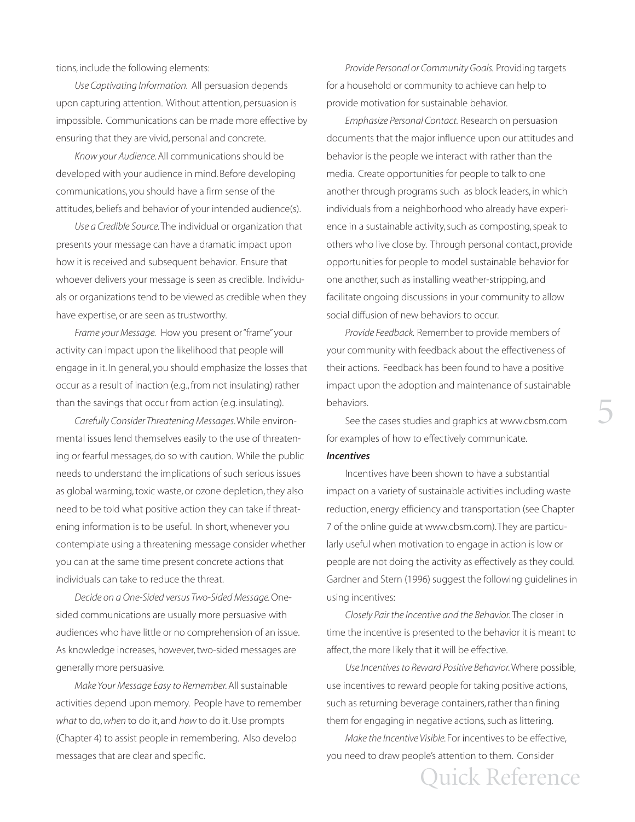tions, include the following elements:

*Use Captivating Information.* All persuasion depends upon capturing attention. Without attention, persuasion is impossible. Communications can be made more effective by ensuring that they are vivid, personal and concrete.

*Know your Audience.* All communications should be developed with your audience in mind. Before developing communications, you should have a firm sense of the attitudes, beliefs and behavior of your intended audience(s).

*Use a Credible Source.* The individual or organization that presents your message can have a dramatic impact upon how it is received and subsequent behavior. Ensure that whoever delivers your message is seen as credible. Individuals or organizations tend to be viewed as credible when they have expertise, or are seen as trustworthy.

*Frame your Message.* How you present or "frame" your activity can impact upon the likelihood that people will engage in it. In general, you should emphasize the losses that occur as a result of inaction (e.g., from not insulating) rather than the savings that occur from action (e.g. insulating).

*Carefully Consider Threatening Messages*. While environmental issues lend themselves easily to the use of threatening or fearful messages, do so with caution. While the public needs to understand the implications of such serious issues as global warming, toxic waste, or ozone depletion, they also need to be told what positive action they can take if threatening information is to be useful. In short, whenever you contemplate using a threatening message consider whether you can at the same time present concrete actions that individuals can take to reduce the threat.

*Decide on a One-Sided versus Two-Sided Message.* Onesided communications are usually more persuasive with audiences who have little or no comprehension of an issue. As knowledge increases, however, two-sided messages are generally more persuasive.

*Make Your Message Easy to Remember.* All sustainable activities depend upon memory. People have to remember *what* to do, *when* to do it, and *how* to do it. Use prompts (Chapter 4) to assist people in remembering. Also develop messages that are clear and specific.

*Provide Personal or Community Goals.* Providing targets for a household or community to achieve can help to provide motivation for sustainable behavior.

*Emphasize Personal Contact.* Research on persuasion documents that the major influence upon our attitudes and behavior is the people we interact with rather than the media. Create opportunities for people to talk to one another through programs such as block leaders, in which individuals from a neighborhood who already have experience in a sustainable activity, such as composting, speak to others who live close by. Through personal contact, provide opportunities for people to model sustainable behavior for one another, such as installing weather-stripping, and facilitate ongoing discussions in your community to allow social diffusion of new behaviors to occur.

*Provide Feedback.* Remember to provide members of your community with feedback about the effectiveness of their actions. Feedback has been found to have a positive impact upon the adoption and maintenance of sustainable behaviors.

See the cases studies and graphics at www.cbsm.com for examples of how to effectively communicate.

5

# *Incentives*

Incentives have been shown to have a substantial impact on a variety of sustainable activities including waste reduction, energy efficiency and transportation (see Chapter 7 of the online guide at www.cbsm.com). They are particularly useful when motivation to engage in action is low or people are not doing the activity as effectively as they could. Gardner and Stern (1996) suggest the following guidelines in using incentives:

*Closely Pair the Incentive and the Behavior.* The closer in time the incentive is presented to the behavior it is meant to affect, the more likely that it will be effective.

*Use Incentives to Reward Positive Behavior.* Where possible, use incentives to reward people for taking positive actions, such as returning beverage containers, rather than fining them for engaging in negative actions, such as littering.

*Make the Incentive Visible.* For incentives to be effective, you need to draw people's attention to them. Consider

Quick Reference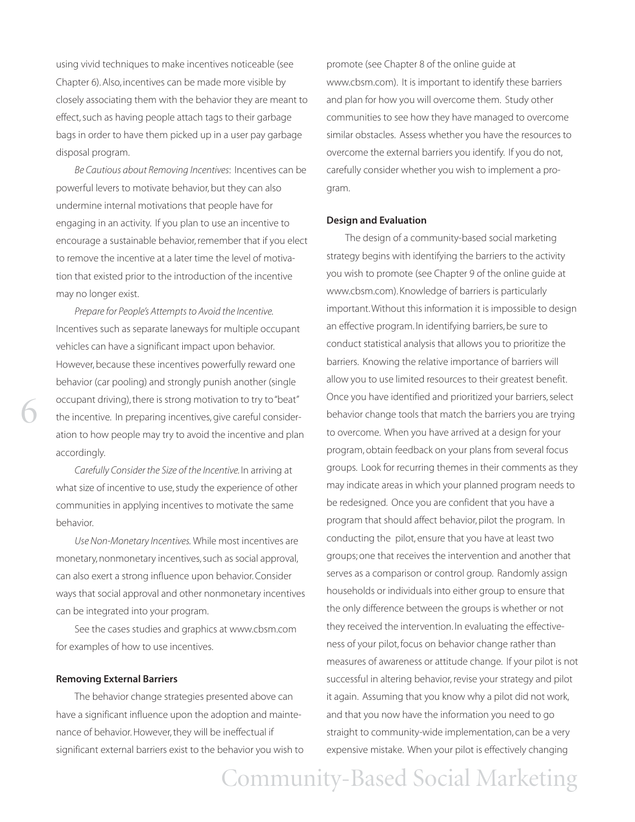using vivid techniques to make incentives noticeable (see Chapter 6). Also, incentives can be made more visible by closely associating them with the behavior they are meant to effect, such as having people attach tags to their garbage bags in order to have them picked up in a user pay garbage disposal program.

*Be Cautious about Removing Incentives*: Incentives can be powerful levers to motivate behavior, but they can also undermine internal motivations that people have for engaging in an activity. If you plan to use an incentive to encourage a sustainable behavior, remember that if you elect to remove the incentive at a later time the level of motivation that existed prior to the introduction of the incentive may no longer exist.

*Prepare for People's Attempts to Avoid the Incentive.* Incentives such as separate laneways for multiple occupant vehicles can have a significant impact upon behavior. However, because these incentives powerfully reward one behavior (car pooling) and strongly punish another (single occupant driving), there is strong motivation to try to "beat" the incentive. In preparing incentives, give careful consideration to how people may try to avoid the incentive and plan accordingly.

*Carefully Consider the Size of the Incentive.* In arriving at what size of incentive to use, study the experience of other communities in applying incentives to motivate the same behavior.

*Use Non-Monetary Incentives.* While most incentives are monetary, nonmonetary incentives, such as social approval, can also exert a strong influence upon behavior. Consider ways that social approval and other nonmonetary incentives can be integrated into your program.

See the cases studies and graphics at www.cbsm.com for examples of how to use incentives.

### **Removing External Barriers**

6

The behavior change strategies presented above can have a significant influence upon the adoption and maintenance of behavior. However, they will be ineffectual if significant external barriers exist to the behavior you wish to promote (see Chapter 8 of the online guide at www.cbsm.com). It is important to identify these barriers and plan for how you will overcome them. Study other communities to see how they have managed to overcome similar obstacles. Assess whether you have the resources to overcome the external barriers you identify. If you do not, carefully consider whether you wish to implement a program.

#### **Design and Evaluation**

The design of a community-based social marketing strategy begins with identifying the barriers to the activity you wish to promote (see Chapter 9 of the online guide at www.cbsm.com). Knowledge of barriers is particularly important. Without this information it is impossible to design an effective program. In identifying barriers, be sure to conduct statistical analysis that allows you to prioritize the barriers. Knowing the relative importance of barriers will allow you to use limited resources to their greatest benefit. Once you have identified and prioritized your barriers, select behavior change tools that match the barriers you are trying to overcome. When you have arrived at a design for your program, obtain feedback on your plans from several focus groups. Look for recurring themes in their comments as they may indicate areas in which your planned program needs to be redesigned. Once you are confident that you have a program that should affect behavior, pilot the program. In conducting the pilot, ensure that you have at least two groups; one that receives the intervention and another that serves as a comparison or control group. Randomly assign households or individuals into either group to ensure that the only difference between the groups is whether or not they received the intervention. In evaluating the effectiveness of your pilot, focus on behavior change rather than measures of awareness or attitude change. If your pilot is not successful in altering behavior, revise your strategy and pilot it again. Assuming that you know why a pilot did not work, and that you now have the information you need to go straight to community-wide implementation, can be a very expensive mistake. When your pilot is effectively changing

Community-Based Social Marketing